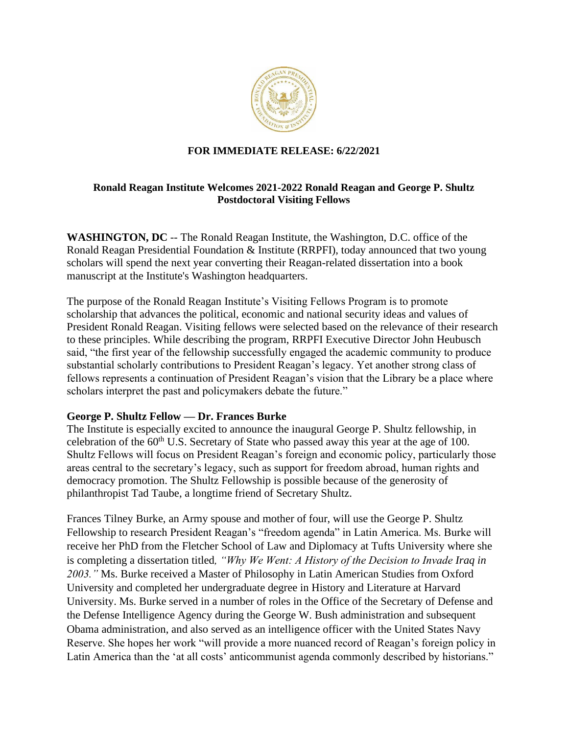

### **FOR IMMEDIATE RELEASE: 6/22/2021**

### **Ronald Reagan Institute Welcomes 2021-2022 Ronald Reagan and George P. Shultz Postdoctoral Visiting Fellows**

**WASHINGTON, DC** -- The Ronald Reagan Institute, the Washington, D.C. office of the Ronald Reagan Presidential Foundation & Institute (RRPFI), today announced that two young scholars will spend the next year converting their Reagan-related dissertation into a book manuscript at the Institute's Washington headquarters.

The purpose of the Ronald Reagan Institute's Visiting Fellows Program is to promote scholarship that advances the political, economic and national security ideas and values of President Ronald Reagan. Visiting fellows were selected based on the relevance of their research to these principles. While describing the program, RRPFI Executive Director John Heubusch said, "the first year of the fellowship successfully engaged the academic community to produce substantial scholarly contributions to President Reagan's legacy. Yet another strong class of fellows represents a continuation of President Reagan's vision that the Library be a place where scholars interpret the past and policymakers debate the future."

### **George P. Shultz Fellow — Dr. Frances Burke**

The Institute is especially excited to announce the inaugural George P. Shultz fellowship, in celebration of the  $60<sup>th</sup>$  U.S. Secretary of State who passed away this year at the age of 100. Shultz Fellows will focus on President Reagan's foreign and economic policy, particularly those areas central to the secretary's legacy, such as support for freedom abroad, human rights and democracy promotion. The Shultz Fellowship is possible because of the generosity of philanthropist Tad Taube, a longtime friend of Secretary Shultz.

Frances Tilney Burke, an Army spouse and mother of four, will use the George P. Shultz Fellowship to research President Reagan's "freedom agenda" in Latin America. Ms. Burke will receive her PhD from the Fletcher School of Law and Diplomacy at Tufts University where she is completing a dissertation titled*, "Why We Went: A History of the Decision to Invade Iraq in 2003."* Ms. Burke received a Master of Philosophy in Latin American Studies from Oxford University and completed her undergraduate degree in History and Literature at Harvard University. Ms. Burke served in a number of roles in the Office of the Secretary of Defense and the Defense Intelligence Agency during the George W. Bush administration and subsequent Obama administration, and also served as an intelligence officer with the United States Navy Reserve. She hopes her work "will provide a more nuanced record of Reagan's foreign policy in Latin America than the 'at all costs' anticommunist agenda commonly described by historians."